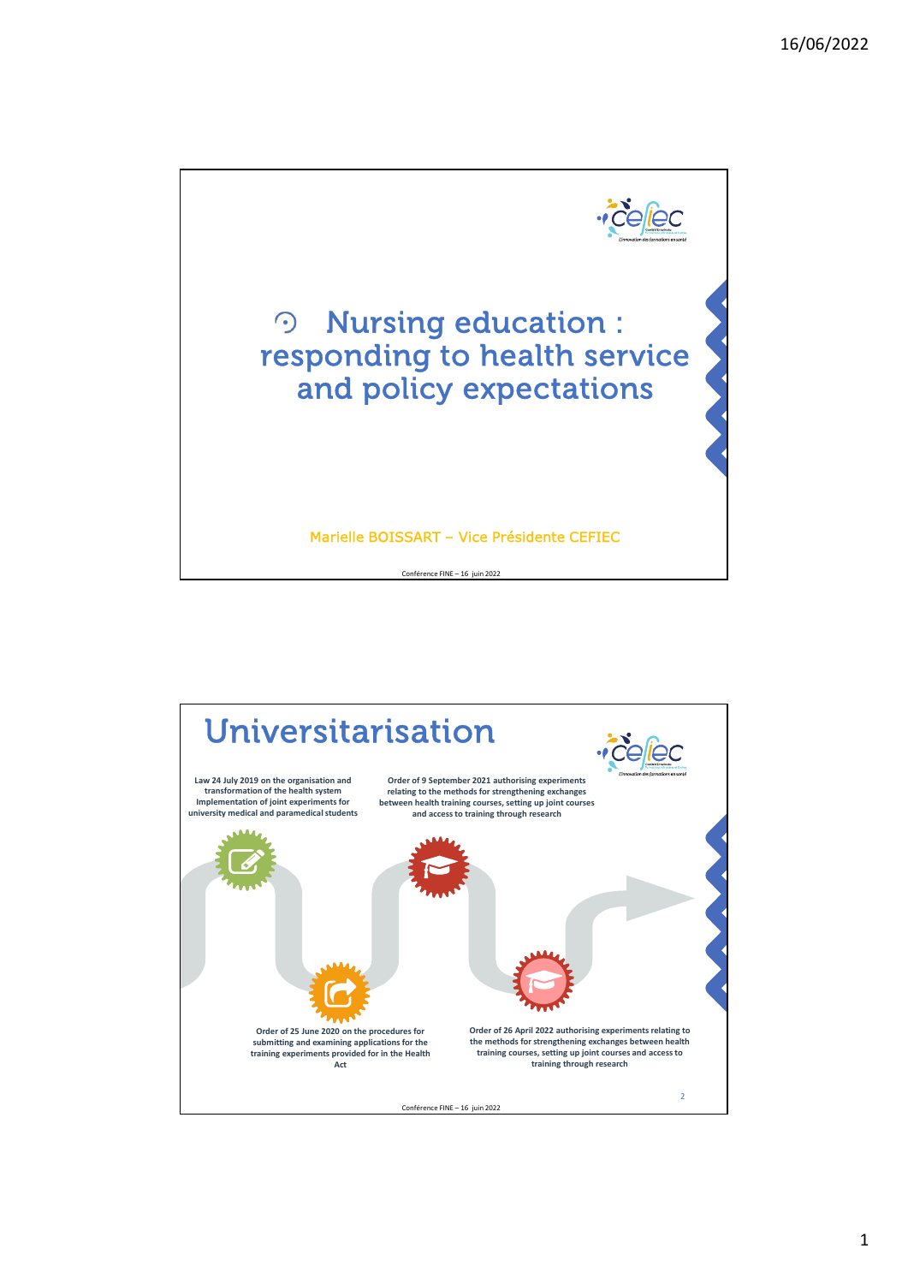

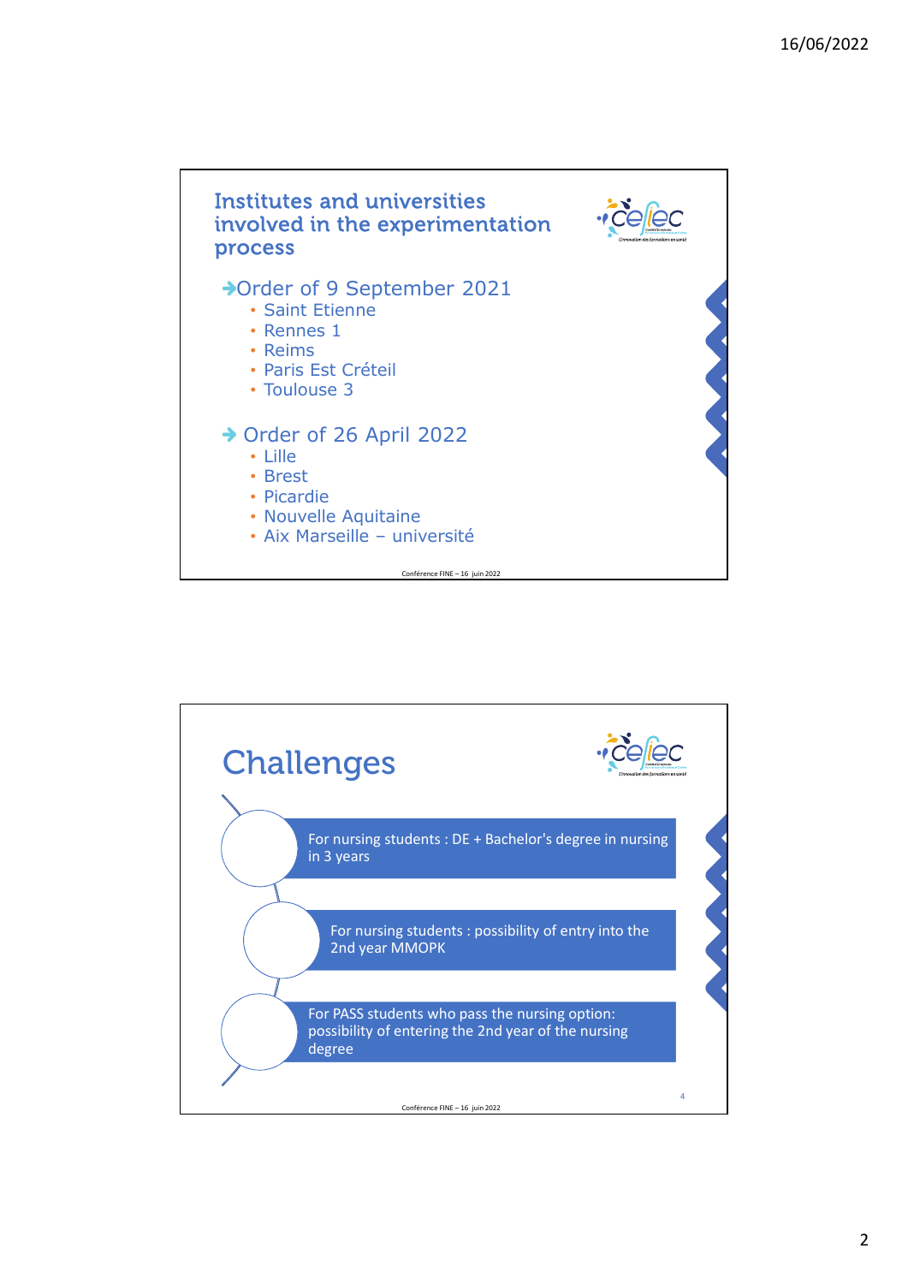

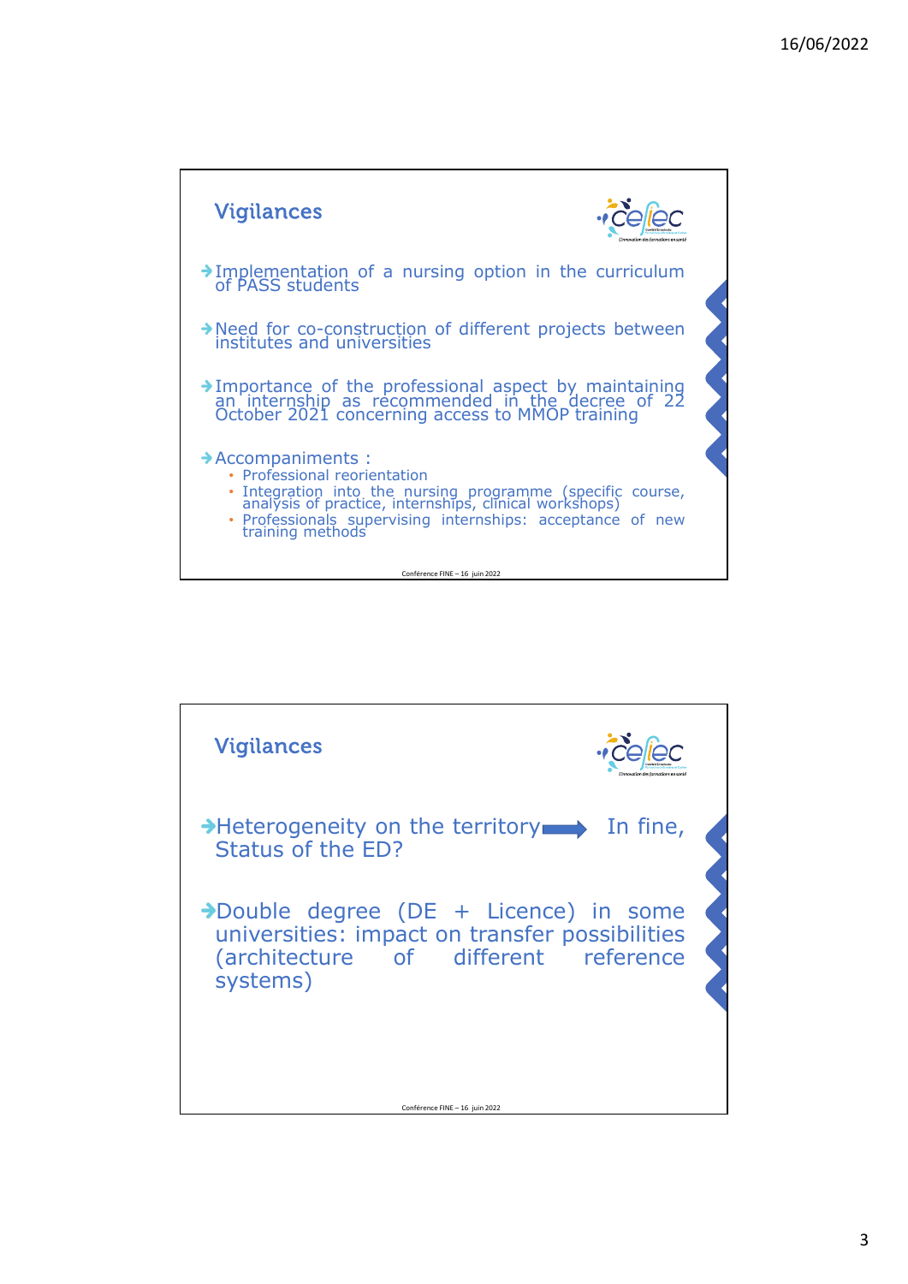

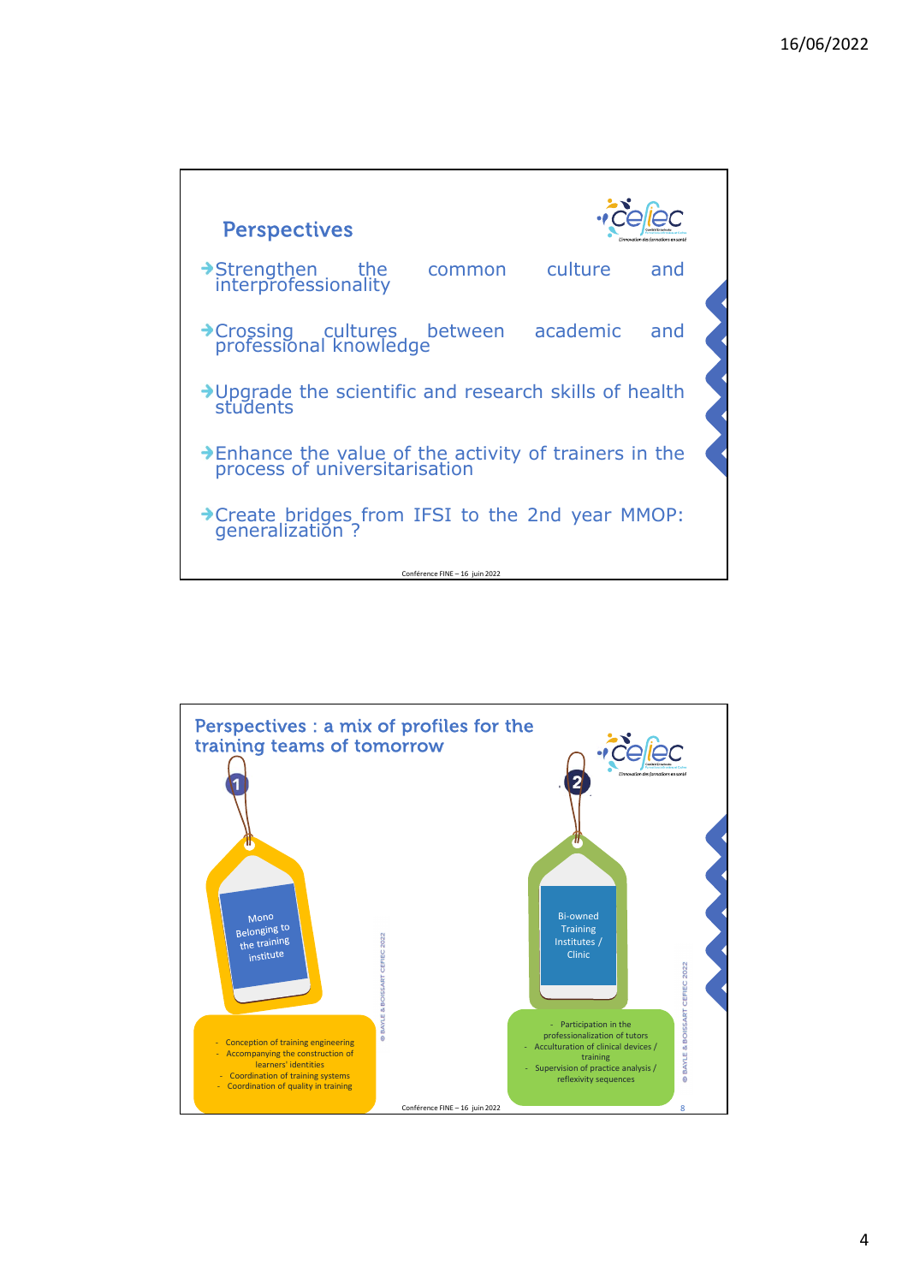